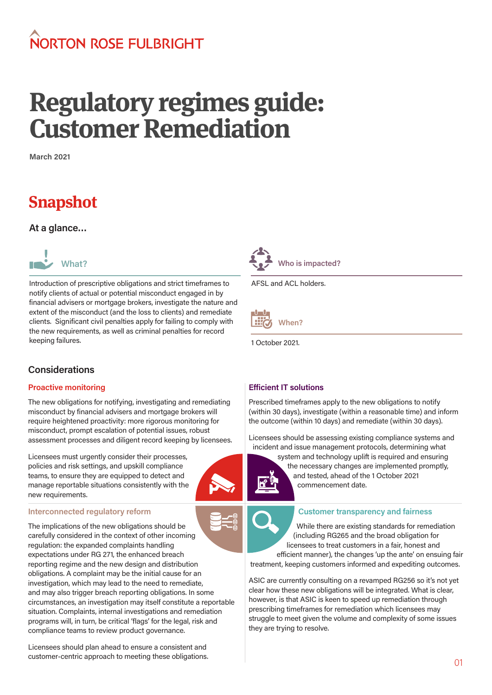# NORTON ROSE FUI BRIGHT

# **Regulatory regimes guide: Customer Remediation**

**March 2021**

# **Snapshot**

**At a glance…**



Introduction of prescriptive obligations and strict timeframes to notify clients of actual or potential misconduct engaged in by financial advisers or mortgage brokers, investigate the nature and extent of the misconduct (and the loss to clients) and remediate clients. Significant civil penalties apply for failing to comply with the new requirements, as well as criminal penalties for record keeping failures.



AFSL and ACL holders.



1 October 2021.

# **Considerations**

# **Proactive monitoring**

The new obligations for notifying, investigating and remediating misconduct by financial advisers and mortgage brokers will require heightened proactivity: more rigorous monitoring for misconduct, prompt escalation of potential issues, robust assessment processes and diligent record keeping by licensees.

Licensees must urgently consider their processes, policies and risk settings, and upskill compliance teams, to ensure they are equipped to detect and manage reportable situations consistently with the new requirements.

#### **Interconnected regulatory reform**

The implications of the new obligations should be carefully considered in the context of other incoming regulation: the expanded complaints handling expectations under RG 271, the enhanced breach reporting regime and the new design and distribution obligations. A complaint may be the initial cause for an investigation, which may lead to the need to remediate, and may also trigger breach reporting obligations. In some circumstances, an investigation may itself constitute a reportable situation. Complaints, internal investigations and remediation programs will, in turn, be critical 'flags' for the legal, risk and compliance teams to review product governance.

Licensees should plan ahead to ensure a consistent and customer-centric approach to meeting these obligations.

# **Efficient IT solutions**

Prescribed timeframes apply to the new obligations to notify (within 30 days), investigate (within a reasonable time) and inform the outcome (within 10 days) and remediate (within 30 days).

Licensees should be assessing existing compliance systems and incident and issue management protocols, determining what



system and technology uplift is required and ensuring the necessary changes are implemented promptly, and tested, ahead of the 1 October 2021 commencement date.



#### **Customer transparency and fairness**

While there are existing standards for remediation (including RG265 and the broad obligation for licensees to treat customers in a fair, honest and efficient manner), the changes 'up the ante' on ensuing fair

treatment, keeping customers informed and expediting outcomes.

ASIC are currently consulting on a revamped RG256 so it's not yet clear how these new obligations will be integrated. What is clear, however, is that ASIC is keen to speed up remediation through prescribing timeframes for remediation which licensees may struggle to meet given the volume and complexity of some issues they are trying to resolve.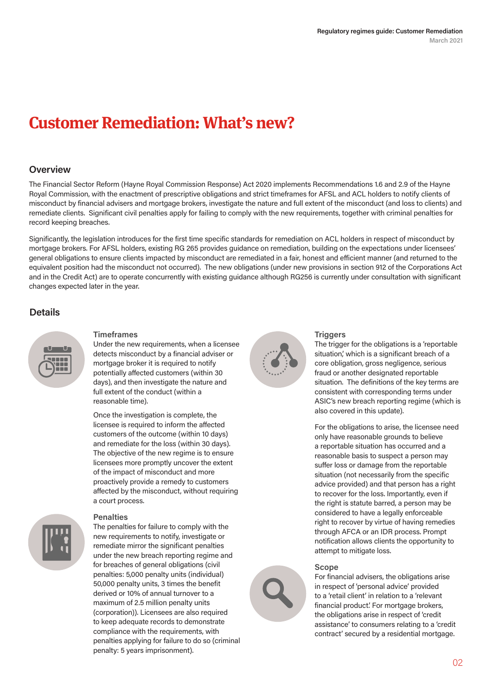# **Customer Remediation: What's new?**

# **Overview**

The Financial Sector Reform (Hayne Royal Commission Response) Act 2020 implements Recommendations 1.6 and 2.9 of the Hayne Royal Commission, with the enactment of prescriptive obligations and strict timeframes for AFSL and ACL holders to notify clients of misconduct by financial advisers and mortgage brokers, investigate the nature and full extent of the misconduct (and loss to clients) and remediate clients. Significant civil penalties apply for failing to comply with the new requirements, together with criminal penalties for record keeping breaches.

Significantly, the legislation introduces for the first time specific standards for remediation on ACL holders in respect of misconduct by mortgage brokers. For AFSL holders, existing RG 265 provides guidance on remediation, building on the expectations under licensees' general obligations to ensure clients impacted by misconduct are remediated in a fair, honest and efficient manner (and returned to the equivalent position had the misconduct not occurred). The new obligations (under new provisions in section 912 of the Corporations Act and in the Credit Act) are to operate concurrently with existing guidance although RG256 is currently under consultation with significant changes expected later in the year.

# **Details**



#### **Timeframes**

Under the new requirements, when a licensee detects misconduct by a financial adviser or mortgage broker it is required to notify potentially affected customers (within 30 days), and then investigate the nature and full extent of the conduct (within a reasonable time).

Once the investigation is complete, the licensee is required to inform the affected customers of the outcome (within 10 days) and remediate for the loss (within 30 days). The objective of the new regime is to ensure licensees more promptly uncover the extent of the impact of misconduct and more proactively provide a remedy to customers affected by the misconduct, without requiring a court process.



# **Penalties**

The penalties for failure to comply with the new requirements to notify, investigate or remediate mirror the significant penalties under the new breach reporting regime and for breaches of general obligations (civil penalties: 5,000 penalty units (individual) 50,000 penalty units, 3 times the benefit derived or 10% of annual turnover to a maximum of 2.5 million penalty units (corporation)). Licensees are also required to keep adequate records to demonstrate compliance with the requirements, with penalties applying for failure to do so (criminal penalty: 5 years imprisonment).



# **Triggers**

The trigger for the obligations is a 'reportable situation,' which is a significant breach of a core obligation, gross negligence, serious fraud or another designated reportable situation. The definitions of the key terms are consistent with corresponding terms under ASIC's new breach reporting regime (which is also covered in this update).

For the obligations to arise, the licensee need only have reasonable grounds to believe a reportable situation has occurred and a reasonable basis to suspect a person may suffer loss or damage from the reportable situation (not necessarily from the specific advice provided) and that person has a right to recover for the loss. Importantly, even if the right is statute barred, a person may be considered to have a legally enforceable right to recover by virtue of having remedies through AFCA or an IDR process. Prompt notification allows clients the opportunity to attempt to mitigate loss.

# **Scope**

For financial advisers, the obligations arise in respect of 'personal advice' provided to a 'retail client' in relation to a 'relevant financial product.' For mortgage brokers, the obligations arise in respect of 'credit assistance' to consumers relating to a 'credit contract' secured by a residential mortgage.